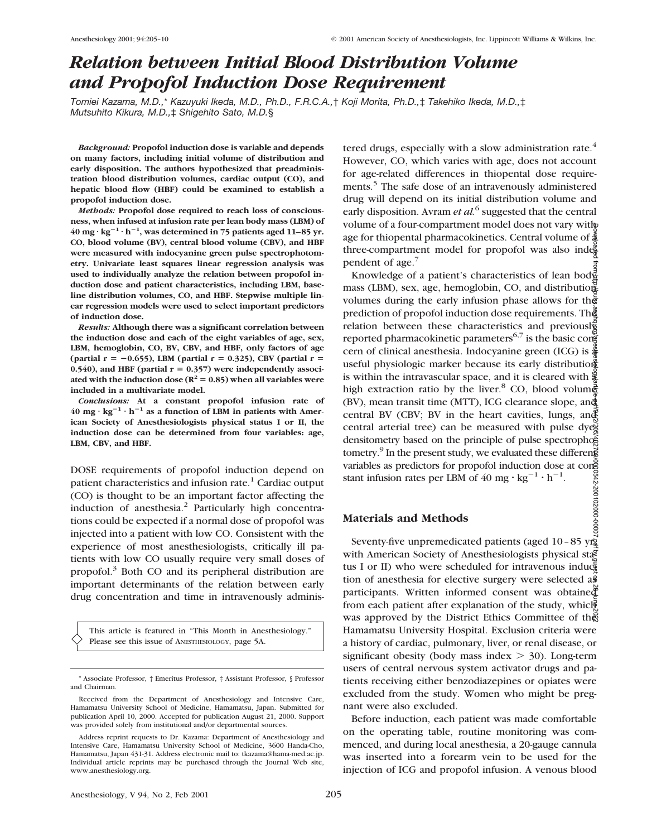# *Relation between Initial Blood Distribution Volume and Propofol Induction Dose Requirement*

*Tomiei Kazama, M.D.,*\* *Kazuyuki Ikeda, M.D., Ph.D., F.R.C.A.,*† *Koji Morita, Ph.D.,*‡ *Takehiko Ikeda, M.D.,*‡ *Mutsuhito Kikura, M.D.,*‡ *Shigehito Sato, M.D.*§

*Background:* **Propofol induction dose is variable and depends on many factors, including initial volume of distribution and early disposition. The authors hypothesized that preadministration blood distribution volumes, cardiac output (CO), and hepatic blood flow (HBF) could be examined to establish a propofol induction dose.**

*Methods:* **Propofol dose required to reach loss of consciousness, when infused at infusion rate per lean body mass (LBM) of**  $40 \text{ mg} \cdot \text{kg}^{-1} \cdot \text{h}^{-1}$ , was determined in 75 patients aged 11–85 yr. **CO, blood volume (BV), central blood volume (CBV), and HBF were measured with indocyanine green pulse spectrophotometry. Univariate least squares linear regression analysis was used to individually analyze the relation between propofol induction dose and patient characteristics, including LBM, baseline distribution volumes, CO, and HBF. Stepwise multiple linear regression models were used to select important predictors of induction dose.**

*Results:* **Although there was a significant correlation between the induction dose and each of the eight variables of age, sex, LBM, hemoglobin, CO, BV, CBV, and HBF, only factors of age** (partial r = -0.655), LBM (partial r = 0.325), CBV (partial r = 0.540), and HBF (partial  $r = 0.357$ ) were independently associated with the induction dose ( $R^2 = 0.85$ ) when all variables were **included in a multivariate model.**

*Conclusions:* **At a constant propofol infusion rate of**  $40 \text{ mg} \cdot \text{kg}^{-1} \cdot \text{h}^{-1}$  as a function of LBM in patients with Amer**ican Society of Anesthesiologists physical status I or II, the induction dose can be determined from four variables: age, LBM, CBV, and HBF.**

DOSE requirements of propofol induction depend on patient characteristics and infusion rate. $1$  Cardiac output (CO) is thought to be an important factor affecting the induction of anesthesia.<sup>2</sup> Particularly high concentrations could be expected if a normal dose of propofol was injected into a patient with low CO. Consistent with the experience of most anesthesiologists, critically ill patients with low CO usually require very small doses of propofol.3 Both CO and its peripheral distribution are important determinants of the relation between early drug concentration and time in intravenously adminis-

This article is featured in "This Month in Anesthesiology." Please see this issue of ANESTHESIOLOGY, page 5A.

Anesthesiology, V 94, No 2, Feb 2001 205

tered drugs, especially with a slow administration rate. $4$ However, CO, which varies with age, does not account for age-related differences in thiopental dose requirements.<sup>5</sup> The safe dose of an intravenously administered drug will depend on its initial distribution volume and early disposition. Avram *et al.*<sup>6</sup> suggested that the central volume of a four-compartment model does not vary with age for thiopental pharmacokinetics. Central volume of  $\tilde{\Phi}$ three-compartment model for propofol was also inde $\frac{8}{5}$ pendent of  $age.^7$ 

Knowledge of a patient's characteristics of lean bod $\frac{3}{2}$ mass (LBM), sex, age, hemoglobin, CO, and distributions volumes during the early infusion phase allows for the prediction of propofol induction dose requirements. The relation between these characteristics and previously reported pharmacokinetic parameters<sup>6,7</sup> is the basic concern of clinical anesthesia. Indocyanine green (ICG) is  $\frac{3}{4}$ useful physiologic marker because its early distribution is within the intravascular space, and it is cleared with  $\frac{8}{3}$ high extraction ratio by the liver.<sup>8</sup> CO, blood volum $\frac{3}{6}$ (BV), mean transit time (MTT), ICG clearance slope, and central BV (CBV; BV in the heart cavities, lungs, and central arterial tree) can be measured with pulse dyedensitometry based on the principle of pulse spectrophoed tometry.<sup>9</sup> In the present study, we evaluated these different variables as predictors for propofol induction dose at cong stant infusion rates per LBM of  $40 \text{ mg} \cdot \text{kg}^{-1} \cdot \text{h}^{-1}$ . Downloaded from http://pubs.asahq.org/anesthesiology/article-pdf/94/2/205/402700/0000542-200102000-00007.pdf by guest on 28 June 2022

# **Materials and Methods**

Seventy-five unpremedicated patients (aged 10-85 yrg with American Society of Anesthesiologists physical sta tus I or II) who were scheduled for intravenous induc $\frac{1}{2}$ tion of anesthesia for elective surgery were selected as participants. Written informed consent was obtained from each patient after explanation of the study, which was approved by the District Ethics Committee of the Hamamatsu University Hospital. Exclusion criteria were a history of cardiac, pulmonary, liver, or renal disease, or significant obesity (body mass index  $>$  30). Long-term users of central nervous system activator drugs and patients receiving either benzodiazepines or opiates were excluded from the study. Women who might be pregnant were also excluded.

Before induction, each patient was made comfortable on the operating table, routine monitoring was commenced, and during local anesthesia, a 20-gauge cannula was inserted into a forearm vein to be used for the injection of ICG and propofol infusion. A venous blood

<sup>\*</sup> Associate Professor, † Emeritus Professor, ‡ Assistant Professor, § Professor and Chairman.

Received from the Department of Anesthesiology and Intensive Care, Hamamatsu University School of Medicine, Hamamatsu, Japan. Submitted for publication April 10, 2000. Accepted for publication August 21, 2000. Support was provided solely from institutional and/or departmental sources.

Address reprint requests to Dr. Kazama: Department of Anesthesiology and Intensive Care, Hamamatsu University School of Medicine, 3600 Handa-Cho, Hamamatsu, Japan 431-31. Address electronic mail to: tkazama@hama-med.ac.jp. Individual article reprints may be purchased through the Journal Web site, www.anesthesiology.org.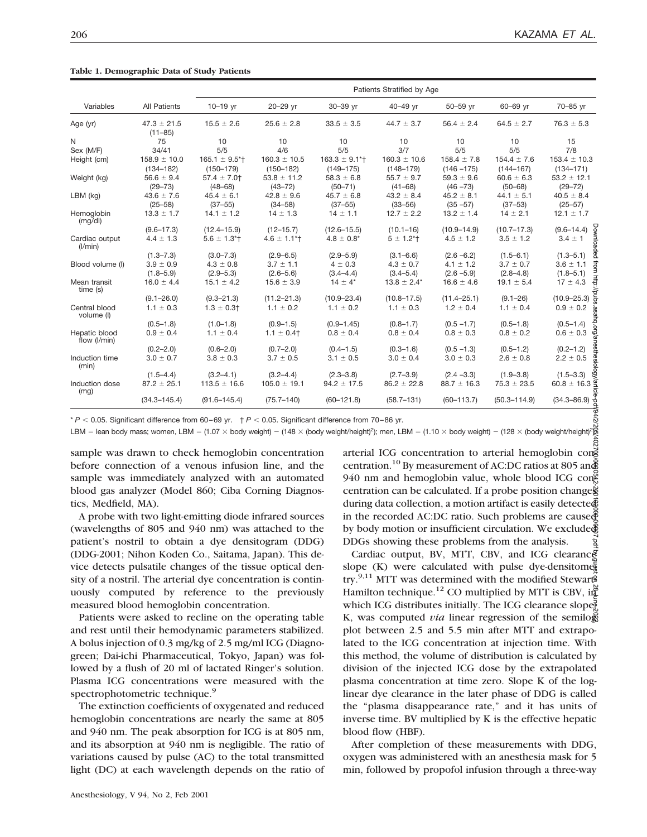|                                                                                                                                                                                                                                                                                                                            |                                   | Patients Stratified by Age                            |                                   |                                               |                                                                     |                                  |                                  |                                   |  |
|----------------------------------------------------------------------------------------------------------------------------------------------------------------------------------------------------------------------------------------------------------------------------------------------------------------------------|-----------------------------------|-------------------------------------------------------|-----------------------------------|-----------------------------------------------|---------------------------------------------------------------------|----------------------------------|----------------------------------|-----------------------------------|--|
| Variables                                                                                                                                                                                                                                                                                                                  | <b>All Patients</b>               | 10-19 yr                                              | 20-29 yr                          | 30-39 yr                                      | 40-49 yr                                                            | 50-59 yr                         | 60-69 yr                         | 70-85 yr                          |  |
| Age (yr)                                                                                                                                                                                                                                                                                                                   | $47.3 \pm 21.5$<br>$(11 - 85)$    | $15.5 \pm 2.6$                                        | $25.6 \pm 2.8$                    | $33.5 \pm 3.5$                                | $44.7 \pm 3.7$                                                      | $56.4 \pm 2.4$                   | $64.5 \pm 2.7$                   | $76.3 \pm 5.3$                    |  |
| N                                                                                                                                                                                                                                                                                                                          | 75                                | 10                                                    | 10                                | 10                                            | 10                                                                  | 10                               | 10                               | 15                                |  |
| Sex (M/F)                                                                                                                                                                                                                                                                                                                  | 34/41                             | 5/5                                                   | 4/6                               | 5/5                                           | 3/7                                                                 | 5/5                              | 5/5                              | 7/8                               |  |
| Height (cm)                                                                                                                                                                                                                                                                                                                | $158.9 \pm 10.0$<br>$(134 - 182)$ | $165.1 \pm 9.5$ <sup>*</sup><br>$(150 - 179)$         | $160.3 \pm 10.5$<br>$(150 - 182)$ | $163.3 \pm 9.1$ <sup>*</sup><br>$(149 - 175)$ | $160.3 \pm 10.6$<br>$(148 - 179)$                                   | $158.4 \pm 7.8$<br>$(146 - 175)$ | $154.4 \pm 7.6$<br>$(144 - 167)$ | $153.4 \pm 10.3$<br>$(134 - 171)$ |  |
| Weight (kg)                                                                                                                                                                                                                                                                                                                | $56.6 \pm 9.4$                    | $57.4 \pm 7.0$                                        | $53.8 \pm 11.2$                   | $58.3 \pm 6.8$                                | $55.7 \pm 9.7$                                                      | $59.3 \pm 9.6$                   | $60.6 \pm 6.3$                   | $53.2 \pm 12.1$                   |  |
|                                                                                                                                                                                                                                                                                                                            | $(29 - 73)$                       | $(48 - 68)$                                           | $(43 - 72)$                       | $(50 - 71)$                                   | $(41 - 68)$                                                         | $(46 - 73)$                      | $(50 - 68)$                      | $(29 - 72)$                       |  |
| $LBM$ (kg)                                                                                                                                                                                                                                                                                                                 | $43.6 \pm 7.6$                    | $45.4 \pm 6.1$                                        | $42.8 \pm 9.6$                    | $45.7 \pm 6.8$                                | $43.2 \pm 8.4$                                                      | $45.2 \pm 8.1$                   | $44.1 \pm 5.1$                   | $40.5 \pm 8.4$                    |  |
|                                                                                                                                                                                                                                                                                                                            | $(25 - 58)$                       | $(37 - 55)$                                           | $(34 - 58)$                       | $(37 - 55)$                                   | $(33 - 56)$                                                         | $(35 - 57)$                      | $(37 - 53)$                      | $(25 - 57)$                       |  |
| Hemoglobin<br>(mg/d)                                                                                                                                                                                                                                                                                                       | $13.3 \pm 1.7$                    | $14.1 \pm 1.2$                                        | $14 \pm 1.3$                      | $14 \pm 1.1$                                  | $12.7 \pm 2.2$                                                      | $13.2 \pm 1.4$                   | $14 \pm 2.1$                     | $12.1 \pm 1.7$                    |  |
|                                                                                                                                                                                                                                                                                                                            | $(9.6 - 17.3)$                    | $(12.4 - 15.9)$                                       | $(12 - 15.7)$                     | $(12.6 - 15.5)$                               | $(10.1 - 16)$                                                       | $(10.9 - 14.9)$                  | $(10.7 - 17.3)$                  | $(9.6 - 14.4)$                    |  |
| Cardiac output<br>(I/min)                                                                                                                                                                                                                                                                                                  | $4.4 \pm 1.3$                     | $5.6 \pm 1.3$ <sup>*</sup>                            | $4.6 \pm 1.1$ <sup>*</sup>        | $4.8 \pm 0.8^*$                               | $5 \pm 1.2$ *†                                                      | $4.5 \pm 1.2$                    | $3.5 \pm 1.2$                    | $3.4 \pm 1$                       |  |
|                                                                                                                                                                                                                                                                                                                            | $(1.3 - 7.3)$                     | $(3.0 - 7.3)$                                         | $(2.9 - 6.5)$                     | $(2.9 - 5.9)$                                 | $(3.1 - 6.6)$                                                       | $(2.6 - 6.2)$                    | $(1.5 - 6.1)$                    | $(1.3 - 5.1)$                     |  |
| Blood volume (I)                                                                                                                                                                                                                                                                                                           | $3.9 \pm 0.9$                     | $4.3 \pm 0.8$                                         | $3.7 \pm 1.1$                     | $4 \pm 0.3$                                   | $4.3 \pm 0.7$                                                       | $4.1 \pm 1.2$                    | $3.7 \pm 0.7$                    | $3.6 \pm 1.1$                     |  |
|                                                                                                                                                                                                                                                                                                                            | $(1.8 - 5.9)$                     | $(2.9 - 5.3)$                                         | $(2.6 - 5.6)$                     | $(3.4 - 4.4)$                                 | $(3.4 - 5.4)$                                                       | $(2.6 - 5.9)$                    | $(2.8 - 4.8)$                    | $(1.8 - 5.1)$                     |  |
| Mean transit<br>time (s)                                                                                                                                                                                                                                                                                                   | $16.0 \pm 4.4$                    | $15.1 \pm 4.2$                                        | $15.6 \pm 3.9$                    | $14 \pm 4^*$                                  | $13.8 \pm 2.4^*$                                                    | $16.6 \pm 4.6$                   | $19.1 \pm 5.4$                   | $17 \pm 4.3$                      |  |
|                                                                                                                                                                                                                                                                                                                            | $(9.1 - 26.0)$                    | $(9.3 - 21.3)$                                        | $(11.2 - 21.3)$                   | $(10.9 - 23.4)$                               | $(10.8 - 17.5)$                                                     | $(11.4 - 25.1)$                  | $(9.1 - 26)$                     | $(10.9 - 25.3)$                   |  |
| Central blood<br>volume (l)                                                                                                                                                                                                                                                                                                | $1.1 \pm 0.3$                     | $1.3 \pm 0.3$ †                                       | $1.1 \pm 0.2$                     | $1.1 \pm 0.2$                                 | $1.1 \pm 0.3$                                                       | $1.2 \pm 0.4$                    | $1.1 \pm 0.4$                    | $0.9 \pm 0.2$                     |  |
|                                                                                                                                                                                                                                                                                                                            | $(0.5 - 1.8)$                     | $(1.0 - 1.8)$                                         | $(0.9 - 1.5)$                     | $(0.9 - 1.45)$                                | $(0.8 - 1.7)$                                                       | $(0.5 - 1.7)$                    | $(0.5 - 1.8)$                    | $(0.5 - 1.4)$                     |  |
| Hepatic blood<br>flow (I/min)                                                                                                                                                                                                                                                                                              | $0.9 \pm 0.4$                     | $1.1 \pm 0.4$                                         | $1.1 \pm 0.4$                     | $0.8 \pm 0.4$                                 | $0.8 \pm 0.4$                                                       | $0.8 \pm 0.3$                    | $0.8 \pm 0.2$                    | $0.6 \pm 0.3$                     |  |
|                                                                                                                                                                                                                                                                                                                            | $(0.2 - 2.0)$                     | $(0.6 - 2.0)$                                         | $(0.7 - 2.0)$                     | $(0.4 - 1.5)$                                 | $(0.3 - 1.6)$                                                       | $(0.5 - 1.3)$                    | $(0.5 - 1.2)$                    | $(0.2 - 1.2)$                     |  |
| Induction time<br>(min)                                                                                                                                                                                                                                                                                                    | $3.0 \pm 0.7$                     | $3.8 \pm 0.3$                                         | $3.7 \pm 0.5$                     | $3.1 \pm 0.5$                                 | $3.0 \pm 0.4$                                                       | $3.0 \pm 0.3$                    | $2.6 \pm 0.8$                    | $2.2 \pm 0.5$                     |  |
|                                                                                                                                                                                                                                                                                                                            | $(1.5 - 4.4)$                     | $(3.2 - 4.1)$                                         | $(3.2 - 4.4)$                     | $(2.3 - 3.8)$                                 | $(2.7 - 3.9)$                                                       | $(2.4 - 3.3)$                    | $(1.9 - 3.8)$                    | $(1.5 - 3.3)$                     |  |
| Induction dose<br>(mg)                                                                                                                                                                                                                                                                                                     | $87.2 \pm 25.1$                   | $113.5 \pm 16.6$                                      | $105.0 \pm 19.1$                  | $94.2 \pm 17.5$                               | $86.2 \pm 22.8$                                                     | $88.7 \pm 16.3$                  | $75.3 \pm 23.5$                  | $60.8 \pm 16.3$                   |  |
|                                                                                                                                                                                                                                                                                                                            | $(34.3 - 145.4)$                  | $(91.6 - 145.4)$                                      | $(75.7 - 140)$                    | $(60 - 121.8)$                                | $(58.7 - 131)$                                                      | $(60 - 113.7)$                   | $(50.3 - 114.9)$                 | $(34.3 - 86.9)$                   |  |
| $*P < 0.05$ . Significant difference from 60–69 yr. $+P < 0.05$ . Significant difference from 70–86 yr.<br>LBM = lean body mass; women, LBM = (1.07 $\times$ body weight) - (148 $\times$ (body weight/height) <sup>2</sup> ); men, LBM = (1.10 $\times$ body weight) - (128 $\times$ (body weight/height) <sup>2</sup> ); |                                   |                                                       |                                   |                                               |                                                                     |                                  |                                  |                                   |  |
|                                                                                                                                                                                                                                                                                                                            |                                   | sample was drawn to check hemoglobin concentration    |                                   |                                               | arterial ICG concentration to arterial hemoglobin cone              |                                  |                                  |                                   |  |
|                                                                                                                                                                                                                                                                                                                            |                                   | before connection of a venous infusion line, and the  |                                   |                                               | centration. <sup>10</sup> By measurement of AC:DC ratios at 805 and |                                  |                                  |                                   |  |
|                                                                                                                                                                                                                                                                                                                            |                                   |                                                       |                                   |                                               |                                                                     |                                  |                                  |                                   |  |
| sample was immediately analyzed with an automated<br>940 nm and hemoglobin value, whole blood ICG cong<br>blood gas analyzer (Model 860; Ciba Corning Diagnos-<br>centration can be calculated. If a probe position changes                                                                                                |                                   |                                                       |                                   |                                               |                                                                     |                                  |                                  |                                   |  |
|                                                                                                                                                                                                                                                                                                                            |                                   |                                                       |                                   |                                               |                                                                     |                                  |                                  |                                   |  |
| tics, Medfield, MA).<br>during data collection, a motion artifact is easily detected<br>A probe with two light-emitting diode infrared sources<br>in the recorded AC:DC ratio. Such problems are caused                                                                                                                    |                                   |                                                       |                                   |                                               |                                                                     |                                  |                                  |                                   |  |
| (wavelengths of 805 and 940 nm) was attached to the<br>by body motion or insufficient circulation. We exclude                                                                                                                                                                                                              |                                   |                                                       |                                   |                                               |                                                                     |                                  |                                  |                                   |  |
|                                                                                                                                                                                                                                                                                                                            |                                   |                                                       |                                   |                                               |                                                                     |                                  |                                  |                                   |  |
| patient's nostril to obtain a dye densitogram (DDG)<br>DDGs showing these problems from the analysis.<br>(DDG-2001; Nihon Koden Co., Saitama, Japan). This de-<br>Cardiac output, BV, MTT, CBV, and ICG clearance                                                                                                          |                                   |                                                       |                                   |                                               |                                                                     |                                  |                                  |                                   |  |
| slope (K) were calculated with pulse dye-densitomes<br>vice detects pulsatile changes of the tissue optical den-                                                                                                                                                                                                           |                                   |                                                       |                                   |                                               |                                                                     |                                  |                                  |                                   |  |
|                                                                                                                                                                                                                                                                                                                            |                                   |                                                       |                                   |                                               |                                                                     |                                  |                                  |                                   |  |
| try. <sup>9,11</sup> MTT was determined with the modified Stewart<br>sity of a nostril. The arterial dye concentration is contin-                                                                                                                                                                                          |                                   |                                                       |                                   |                                               |                                                                     |                                  |                                  |                                   |  |
| Hamilton technique. <sup>12</sup> CO multiplied by MTT is CBV, in $\tilde{a}$<br>uously computed by reference to the previously                                                                                                                                                                                            |                                   |                                                       |                                   |                                               |                                                                     |                                  |                                  |                                   |  |
| which ICG distributes initially. The ICG clearance slopes<br>measured blood hemoglobin concentration.                                                                                                                                                                                                                      |                                   |                                                       |                                   |                                               |                                                                     |                                  |                                  |                                   |  |
|                                                                                                                                                                                                                                                                                                                            |                                   | Patients were asked to recline on the operating table |                                   |                                               | K, was computed <i>via</i> linear regression of the semilor         |                                  |                                  |                                   |  |

**Table 1. Demographic Data of Study Patients**

Patients were asked to recline on the operating table and rest until their hemodynamic parameters stabilized. A bolus injection of 0.3 mg/kg of 2.5 mg/ml ICG (Diagnogreen; Dai-ichi Pharmaceutical, Tokyo, Japan) was followed by a flush of 20 ml of lactated Ringer's solution. Plasma ICG concentrations were measured with the spectrophotometric technique.<sup>9</sup>

The extinction coefficients of oxygenated and reduced hemoglobin concentrations are nearly the same at 805 and 940 nm. The peak absorption for ICG is at 805 nm, and its absorption at 940 nm is negligible. The ratio of variations caused by pulse (AC) to the total transmitted light (DC) at each wavelength depends on the ratio of

Anesthesiology, V 94, No 2, Feb 2001

Cardiac output, BV, MTT, CBV, and ICG clearance slope (K) were calculated with pulse dye-densitometry.<sup>9,11</sup> MTT was determined with the modified Stewart-Hamilton technique.<sup>12</sup> CO multiplied by MTT is CBV, in $\mathbb{Z}$ which ICG distributes initially. The ICG clearance slope. K, was computed *via* linear regression of the semilogy plot between 2.5 and 5.5 min after MTT and extrapolated to the ICG concentration at injection time. With this method, the volume of distribution is calculated by division of the injected ICG dose by the extrapolated plasma concentration at time zero. Slope K of the loglinear dye clearance in the later phase of DDG is called the "plasma disappearance rate," and it has units of inverse time. BV multiplied by K is the effective hepatic blood flow (HBF).

After completion of these measurements with DDG, oxygen was administered with an anesthesia mask for 5 min, followed by propofol infusion through a three-way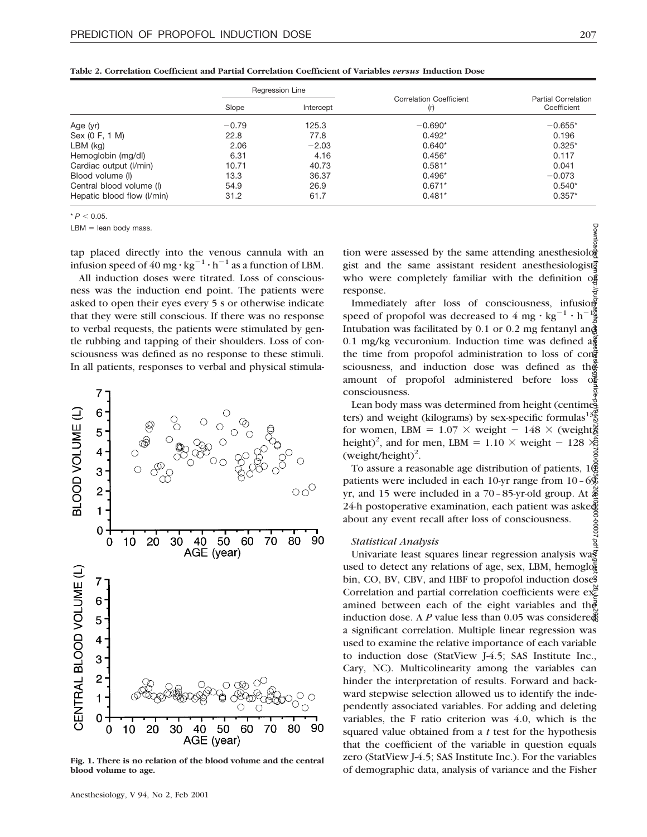|                            | Regression Line |           |                                       |                                           |  |
|----------------------------|-----------------|-----------|---------------------------------------|-------------------------------------------|--|
|                            | Slope           | Intercept | <b>Correlation Coefficient</b><br>(r) | <b>Partial Correlation</b><br>Coefficient |  |
| Age (yr)                   | $-0.79$         | 125.3     | $-0.690*$                             | $-0.655*$                                 |  |
| Sex (0 F, 1 M)             | 22.8            | 77.8      | $0.492*$                              | 0.196                                     |  |
| $LBM$ (kg)                 | 2.06            | $-2.03$   | $0.640*$                              | $0.325*$                                  |  |
| Hemoglobin (mg/dl)         | 6.31            | 4.16      | $0.456*$                              | 0.117                                     |  |
| Cardiac output (I/min)     | 10.71           | 40.73     | $0.581*$                              | 0.041                                     |  |
| Blood volume (I)           | 13.3            | 36.37     | $0.496*$                              | $-0.073$                                  |  |
| Central blood volume (I)   | 54.9            | 26.9      | $0.671*$                              | $0.540*$                                  |  |
| Hepatic blood flow (I/min) | 31.2            | 61.7      | $0.481*$                              | $0.357*$                                  |  |

**Table 2. Correlation Coefficient and Partial Correlation Coefficient of Variables** *versus* **Induction Dose**

 $* P < 0.05$ .

 $LBM =$  lean body mass.

tap placed directly into the venous cannula with an infusion speed of 40 mg  $\cdot$  kg<sup>-1</sup>  $\cdot$  h<sup>-1</sup> as a function of LBM.

All induction doses were titrated. Loss of consciousness was the induction end point. The patients were asked to open their eyes every 5 s or otherwise indicate that they were still conscious. If there was no response to verbal requests, the patients were stimulated by gentle rubbing and tapping of their shoulders. Loss of consciousness was defined as no response to these stimuli. In all patients, responses to verbal and physical stimula-



**Fig. 1. There is no relation of the blood volume and the central blood volume to age.**

tion were assessed by the same attending anesthesiology gist and the same assistant resident anesthesiologist. who were completely familiar with the definition of response.

Immediately after loss of consciousness, infusion speed of propofol was decreased to  $4 \text{ mg} \cdot \text{kg}^{-1} \cdot \text{h}^{-1}$  $\frac{1}{2}$ Intubation was facilitated by 0.1 or 0.2 mg fentanyl and 0.1 mg/kg vecuronium. Induction time was defined  $a\frac{a}{b}$ the time from propofol administration to loss of con $\frac{3}{8}$ sciousness, and induction dose was defined as the amount of propofol administered before loss consciousness. Downloaded from http://pubs.asahq.org/anesthesiology/article-pdf/94/2/205/402700/0000542-200102000-00007.pdf by guest on 28 June 2022

Lean body mass was determined from height (centimeters) and weight (kilograms) by sex-specific formulas<sup>1</sup> for women, LBM =  $1.07 \times$  weight -  $148 \times$  (weight) height)<sup>2</sup>, and for men, LBM =  $1.10 \times$  weight - 128  $\times$  $(weight/height)^2$ .

To assure a reasonable age distribution of patients,  $1\&$ patients were included in each 10-yr range from  $10-6$  $%$ yr, and 15 were included in a  $70-85$ -yr-old group. At 24-h postoperative examination, each patient was asked about any event recall after loss of consciousness.

#### *Statistical Analysis*

Univariate least squares linear regression analysis was used to detect any relations of age, sex, LBM, hemoglobin, CO, BV, CBV, and HBF to propofol induction dose. Correlation and partial correlation coefficients were  $ex^{\alpha}$ amined between each of the eight variables and the induction dose. A *P* value less than 0.05 was considered a significant correlation. Multiple linear regression was used to examine the relative importance of each variable to induction dose (StatView J-4.5; SAS Institute Inc., Cary, NC). Multicolinearity among the variables can hinder the interpretation of results. Forward and backward stepwise selection allowed us to identify the independently associated variables. For adding and deleting variables, the F ratio criterion was 4.0, which is the squared value obtained from a *t* test for the hypothesis that the coefficient of the variable in question equals zero (StatView J-4.5; SAS Institute Inc.). For the variables of demographic data, analysis of variance and the Fisher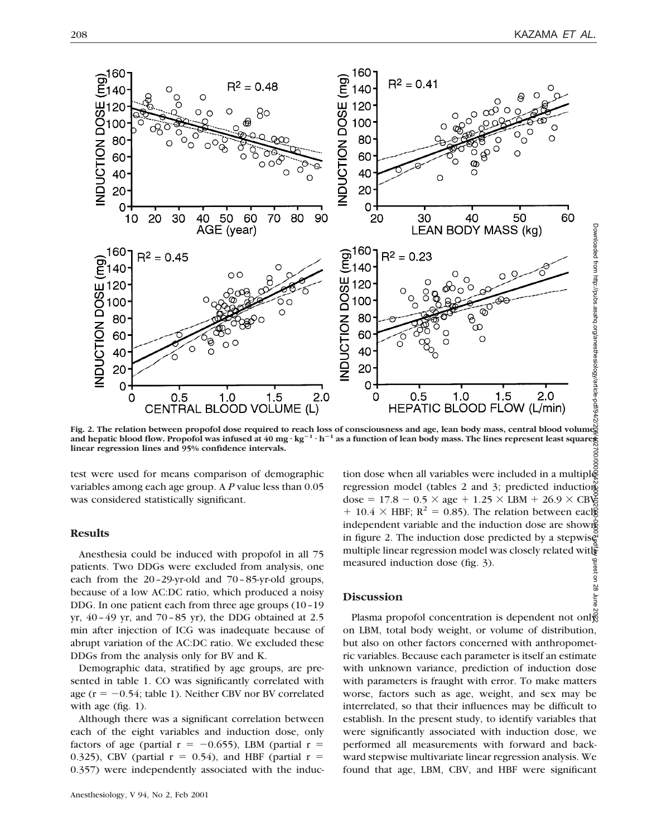

Fig. 2. The relation between propofol dose required to reach loss of consciousness and age, lean body mass, central blood volumes<br>and hepatic blood flow. Propofol was infused at 40 mg · kg<sup>–1</sup> · h<sup>–1</sup> as a function of lean rig. 2. The relation between proportions together to reach loss of conservations and ago, can love, each love, example, example, example, example, example, example, example, example, example, example, example, example, exa

test were used for means comparison of demographic variables among each age group. A *P* value less than 0.05 was considered statistically significant.

# **Results**

Anesthesia could be induced with propofol in all 75 patients. Two DDGs were excluded from analysis, one each from the 20–29-yr-old and 70–85-yr-old groups, because of a low AC:DC ratio, which produced a noisy DDG. In one patient each from three age groups (10–19 yr, 40–49 yr, and 70–85 yr), the DDG obtained at 2.5 min after injection of ICG was inadequate because of abrupt variation of the AC:DC ratio. We excluded these DDGs from the analysis only for BV and K.

Demographic data, stratified by age groups, are presented in table 1. CO was significantly correlated with age ( $r = -0.54$ ; table 1). Neither CBV nor BV correlated with age (fig. 1).

Although there was a significant correlation between each of the eight variables and induction dose, only factors of age (partial  $r = -0.655$ ), LBM (partial  $r =$ 0.325), CBV (partial  $r = 0.54$ ), and HBF (partial  $r =$ 0.357) were independently associated with the induc-

Downloaded from http://pubs.asahq.org/anesthesiology/article-pdf/94/2/205/402700/0000542-200102000-00007.pdf by guest on 28 June 2022tion dose when all variables were included in a multiple regression model (tables 2 and 3; predicted induction dose =  $17.8 - 0.5 \times age + 1.25 \times LBM + 26.9 \times CB\$  $+ 10.4 \times$  HBF; R<sup>2</sup> = 0.85). The relation between eacles independent variable and the induction dose are shown in figure 2. The induction dose predicted by a stepwise multiple linear regression model was closely related with measured induction dose (fig. 3). guest on 28

### **Discussion**

Plasma propofol concentration is dependent not only on LBM, total body weight, or volume of distribution, but also on other factors concerned with anthropometric variables. Because each parameter is itself an estimate with unknown variance, prediction of induction dose with parameters is fraught with error. To make matters worse, factors such as age, weight, and sex may be interrelated, so that their influences may be difficult to establish. In the present study, to identify variables that were significantly associated with induction dose, we performed all measurements with forward and backward stepwise multivariate linear regression analysis. We found that age, LBM, CBV, and HBF were significant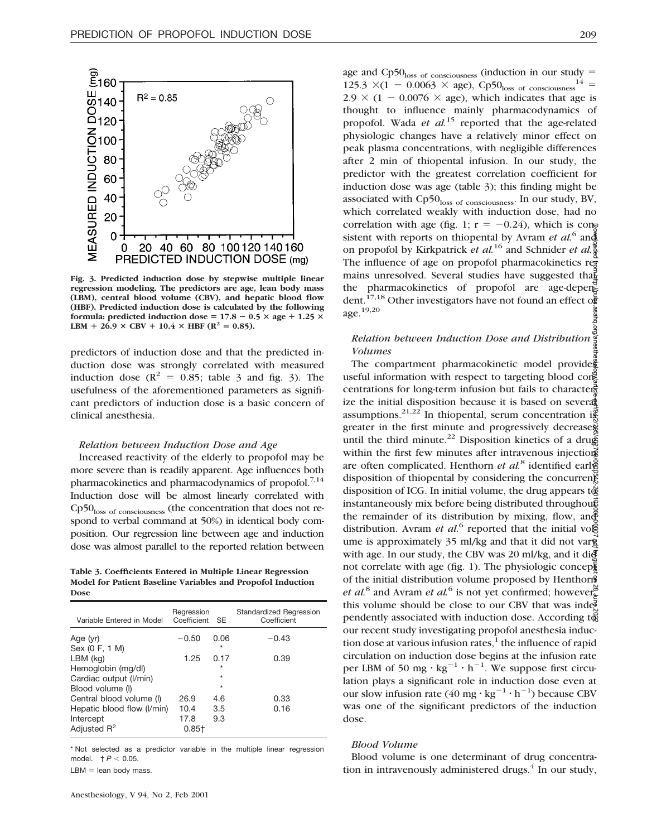

**Fig. 3. Predicted induction dose by stepwise multiple linear regression modeling. The predictors are age, lean body mass (LBM), central blood volume (CBV), and hepatic blood flow (HBF). Predicted induction dose is calculated by the following formula:** predicted induction dose =  $17.8 - 0.5 \times \text{age} + 1.25 \times \text{age}$ **LBM** +  $26.9 \times$  CBV +  $10.4 \times$  HBF ( $\mathbb{R}^2 = 0.85$ ).

predictors of induction dose and that the predicted induction dose was strongly correlated with measured induction dose  $(R^2 = 0.85$ ; table 3 and fig. 3). The usefulness of the aforementioned parameters as significant predictors of induction dose is a basic concern of clinical anesthesia.

### *Relation between Induction Dose and Age*

Increased reactivity of the elderly to propofol may be more severe than is readily apparent. Age influences both pharmacokinetics and pharmacodynamics of propofol.<sup>7,14</sup> Induction dose will be almost linearly correlated with Cp50loss of consciousness (the concentration that does not respond to verbal command at 50%) in identical body composition. Our regression line between age and induction dose was almost parallel to the reported relation between

**Table 3. Coefficients Entered in Multiple Linear Regression Model for Patient Baseline Variables and Propofol Induction Dose**

| Variable Entered in Model                    | Regression<br>Coefficient | <b>SE</b>       | Standardized Regression<br>Coefficient |
|----------------------------------------------|---------------------------|-----------------|----------------------------------------|
| Age (yr)<br>Sex (0 F, 1 M)                   | $-0.50$                   | 0.06<br>÷       | $-0.43$                                |
| LBM (kg)                                     | 1.25                      | 0.17<br>$\star$ | 0.39                                   |
| Hemoglobin (mg/dl)<br>Cardiac output (I/min) |                           | $\star$         |                                        |
| Blood volume (I)                             |                           | $\star$         |                                        |
| Central blood volume (I)                     | 26.9                      | 4.6             | 0.33                                   |
| Hepatic blood flow (I/min)                   | 10.4                      | 3.5             | 0.16                                   |
| Intercept                                    | 17.8                      | 9.3             |                                        |
| Adjusted R <sup>2</sup>                      | $0.85 +$                  |                 |                                        |

\* Not selected as a predictor variable in the multiple linear regression model.  $\uparrow$  *P* < 0.05.

 $LBM =$  lean body mass.

age and Cp50 $_{loss of\ consciousness}$  (induction in our study = 125.3  $\times$ (1 - 0.0063  $\times$  age), Cp50<sub>loss of consciousness</sub> 14 =  $2.9 \times (1 - 0.0076 \times \text{age})$ , which indicates that age is thought to influence mainly pharmacodynamics of propofol. Wada *et al.*<sup>15</sup> reported that the age-related physiologic changes have a relatively minor effect on peak plasma concentrations, with negligible differences after 2 min of thiopental infusion. In our study, the predictor with the greatest correlation coefficient for induction dose was age (table 3); this finding might be associated with Cp50<sub>loss of consciousness</sub>. In our study, BV, which correlated weakly with induction dose, had no correlation with age (fig. 1;  $r = -0.24$ ), which is consistent with reports on thiopental by Avram *et al.*<sup>6</sup> and on propofol by Kirkpatrick *et al.*<sup>16</sup> and Schnider *et al.*<sup>7</sup> The influence of age on propofol pharmacokinetics remains unresolved. Several studies have suggested that the pharmacokinetics of propofol are age-dependent.<sup>17,18</sup> Other investigators have not found an effect of age.19,20

# *Relation between Induction Dose and Distribution Volumes*

The compartment pharmacokinetic model provides useful information with respect to targeting blood con $\mathbb R$ centrations for long-term infusion but fails to characterize the initial disposition because it is based on several assumptions.<sup>21,22</sup> In thiopental, serum concentration is greater in the first minute and progressively decreases until the third minute.<sup>22</sup> Disposition kinetics of a drug within the first few minutes after intravenous injections are often complicated. Henthorn *et al.*<sup>8</sup> identified early disposition of thiopental by considering the concurrent disposition of ICG. In initial volume, the drug appears to instantaneously mix before being distributed throughouse the remainder of its distribution by mixing, flow, and distribution. Avram *et al.*<sup>6</sup> reported that the initial volg ume is approximately  $35$  ml/kg and that it did not vary with age. In our study, the CBV was 20 ml/kg, and it did not correlate with age (fig. 1). The physiologic concepted of the initial distribution volume proposed by Henthorn *et al.*<sup>8</sup> and Avram *et al.*<sup>6</sup> is not yet confirmed; however, this volume should be close to our CBV that was inde $\overline{\mathbb{R}}$ pendently associated with induction dose. According  $t\tilde{\mathfrak{g}}$ our recent study investigating propofol anesthesia induction dose at various infusion rates, $<sup>1</sup>$  the influence of rapid</sup> circulation on induction dose begins at the infusion rate per LBM of 50 mg  $\cdot$  kg<sup>-1</sup>  $\cdot$  h<sup>-1</sup>. We suppose first circulation plays a significant role in induction dose even at our slow infusion rate  $(40 \text{ mg} \cdot \text{kg}^{-1} \cdot \text{h}^{-1})$  because CBV was one of the significant predictors of the induction dose. Downloaded from http://pubs.asahq.org/anesthesiology/article-pdf/94/2/205/402700/0000542-200102000-00007.pdf by guest on 28 June 2022

### *Blood Volume*

Blood volume is one determinant of drug concentration in intravenously administered drugs. $4$  In our study,